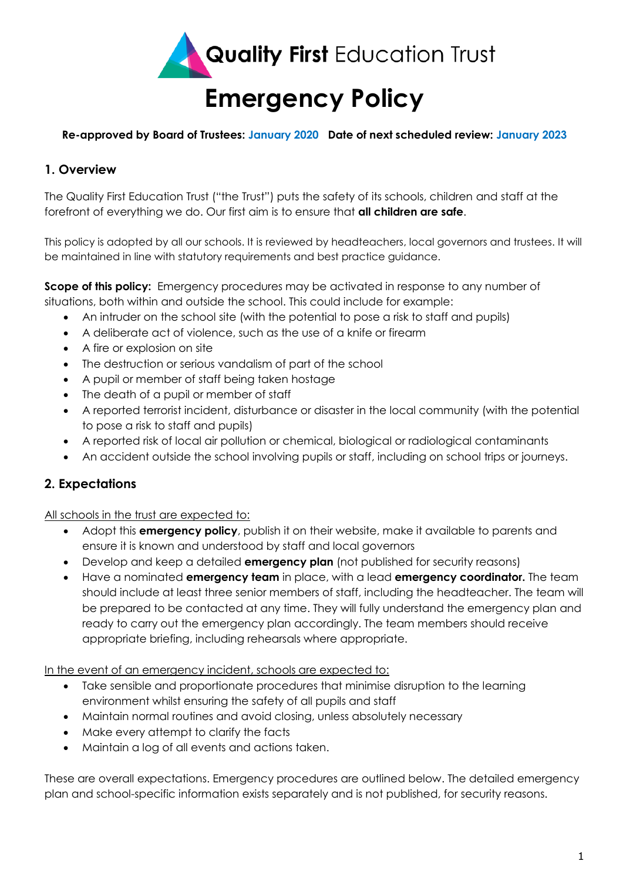

#### **Re-approved by Board of Trustees: January 2020 Date of next scheduled review: January 2023**

### **1. Overview**

The Quality First Education Trust ("the Trust") puts the safety of its schools, children and staff at the forefront of everything we do. Our first aim is to ensure that **all children are safe**.

This policy is adopted by all our schools. It is reviewed by headteachers, local governors and trustees. It will be maintained in line with statutory requirements and best practice guidance.

**Scope of this policy:** Emergency procedures may be activated in response to any number of situations, both within and outside the school. This could include for example:

- An intruder on the school site (with the potential to pose a risk to staff and pupils)
- A deliberate act of violence, such as the use of a knife or firearm
- A fire or explosion on site
- The destruction or serious vandalism of part of the school
- A pupil or member of staff being taken hostage
- The death of a pupil or member of staff
- A reported terrorist incident, disturbance or disaster in the local community (with the potential to pose a risk to staff and pupils)
- A reported risk of local air pollution or chemical, biological or radiological contaminants
- An accident outside the school involving pupils or staff, including on school trips or journeys.

### **2. Expectations**

All schools in the trust are expected to:

- Adopt this **emergency policy**, publish it on their website, make it available to parents and ensure it is known and understood by staff and local governors
- Develop and keep a detailed **emergency plan** (not published for security reasons)
- Have a nominated **emergency team** in place, with a lead **emergency coordinator.** The team should include at least three senior members of staff, including the headteacher. The team will be prepared to be contacted at any time. They will fully understand the emergency plan and ready to carry out the emergency plan accordingly. The team members should receive appropriate briefing, including rehearsals where appropriate.

In the event of an emergency incident, schools are expected to:

- Take sensible and proportionate procedures that minimise disruption to the learning environment whilst ensuring the safety of all pupils and staff
- Maintain normal routines and avoid closing, unless absolutely necessary
- Make every attempt to clarify the facts
- Maintain a log of all events and actions taken.

These are overall expectations. Emergency procedures are outlined below. The detailed emergency plan and school-specific information exists separately and is not published, for security reasons.